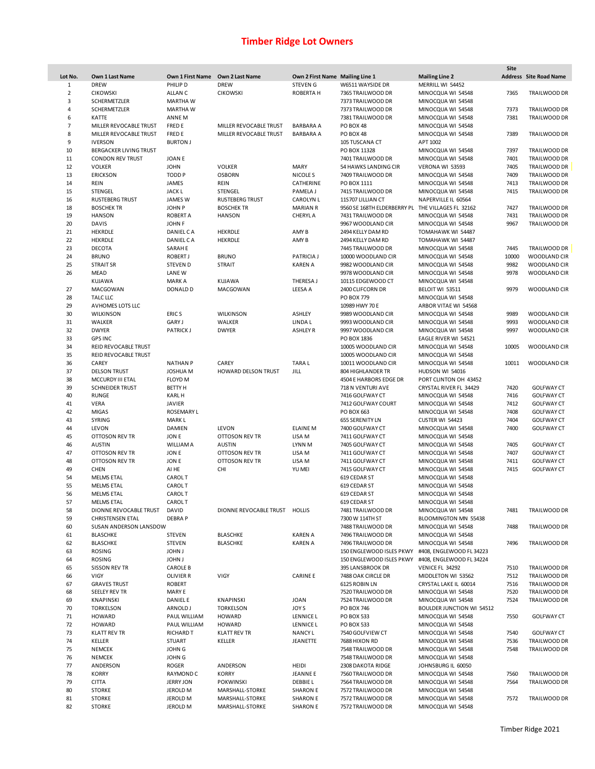|                |                              |                                  |                               |                                 |                             |                                  | Site  |                        |
|----------------|------------------------------|----------------------------------|-------------------------------|---------------------------------|-----------------------------|----------------------------------|-------|------------------------|
| Lot No.        | Own 1 Last Name              | Own 1 First Name Own 2 Last Name |                               | Own 2 First Name Mailing Line 1 |                             | <b>Mailing Line 2</b>            |       | Address Site Road Name |
| 1              | <b>DREW</b>                  | PHILIP D                         | <b>DREW</b>                   | <b>STEVENG</b>                  | W6511 WAYSIDE DR            | MERRILL WI 54452                 |       |                        |
| $\overline{2}$ | <b>CIKOWSKI</b>              | ALLAN C                          | <b>CIKOWSKI</b>               | ROBERTA H                       | 7365 TRAILWOOD DR           | MINOCQUA WI 54548                | 7365  | TRAILWOOD DR           |
| 3              | SCHERMETZLER                 | <b>MARTHAW</b>                   |                               |                                 | 7373 TRAILWOOD DR           | MINOCQUA WI 54548                |       |                        |
| 4              | SCHERMETZLER                 | <b>MARTHAW</b>                   |                               |                                 | 7373 TRAILWOOD DR           | MINOCQUA WI 54548                | 7373  | TRAILWOOD DR           |
| 6              | KATTE                        | ANNE M                           |                               |                                 | 7381 TRAILWOOD DR           | MINOCQUA WI 54548                | 7381  | TRAILWOOD DR           |
| 7              | MILLER REVOCABLE TRUST       | <b>FRED E</b>                    | MILLER REVOCABLE TRUST        | <b>BARBARA A</b>                | PO BOX 48                   | MINOCQUA WI 54548                |       |                        |
| 8              | MILLER REVOCABLE TRUST       | <b>FRED E</b>                    | MILLER REVOCABLE TRUST        | <b>BARBARA A</b>                | PO BOX 48                   | MINOCQUA WI 54548                | 7389  | <b>TRAILWOOD DR</b>    |
| 9              | <b>IVERSON</b>               | <b>BURTON J</b>                  |                               |                                 | 105 TUSCANA CT              | APT 1002                         |       |                        |
| 10             |                              |                                  |                               |                                 | PO BOX 11328                |                                  | 7397  | TRAILWOOD DR           |
|                | BERGACKER LIVING TRUST       |                                  |                               |                                 |                             | MINOCQUA WI 54548                |       |                        |
| 11             | <b>CONDON REV TRUST</b>      | <b>JOANE</b>                     |                               |                                 | 7401 TRAILWOOD DR           | MINOCQUA WI 54548                | 7401  | TRAILWOOD DR           |
| 12             | <b>VOLKER</b>                | <b>JOHN</b>                      | <b>VOLKER</b>                 | MARY                            | 54 HAWKS LANDING CIR        | VERONA WI 53593                  | 7405  | TRAILWOOD DR           |
| 13             | <b>ERICKSON</b>              | TODD <sub>P</sub>                | <b>OSBORN</b>                 | NICOLE S                        | 7409 TRAILWOOD DR           | MINOCQUA WI 54548                | 7409  | TRAILWOOD DR           |
| 14             | REIN                         | JAMES                            | REIN                          | CATHERINE                       | PO BOX 1111                 | MINOCQUA WI 54548                | 7413  | TRAILWOOD DR           |
| 15             | <b>STENGEL</b>               | <b>JACKL</b>                     | <b>STENGEL</b>                | PAMELA J                        | 7415 TRAILWOOD DR           | MINOCQUA WI 54548                | 7415  | TRAILWOOD DR           |
| 16             | <b>RUSTEBERG TRUST</b>       | <b>JAMES W</b>                   | <b>RUSTEBERG TRUST</b>        | <b>CAROLYN L</b>                | 11S707 LILLIAN CT           | NAPERVILLE IL 60564              |       |                        |
| 18             | <b>BOSCHEK TR</b>            | JOHN <sub>P</sub>                | <b>BOSCHEK TR</b>             | <b>MARIAN R</b>                 | 9560 SE 168TH ELDERBERRY PL | THE VILLAGES FL 32162            | 7427  | TRAILWOOD DR           |
| 19             | <b>HANSON</b>                | <b>ROBERT A</b>                  | <b>HANSON</b>                 | CHERYL A                        | 7431 TRAILWOOD DR           | MINOCQUA WI 54548                | 7431  | TRAILWOOD DR           |
| 20             | <b>DAVIS</b>                 | JOHN F                           |                               |                                 | 9967 WOODLAND CIR           | MINOCQUA WI 54548                | 9967  | TRAILWOOD DR           |
| 21             | HEKRDLE                      | DANIEL CA                        | <b>HEKRDLE</b>                | AMY B                           | 2494 KELLY DAM RD           | TOMAHAWK WI 54487                |       |                        |
| 22             | <b>HEKRDLE</b>               | DANIEL CA                        | <b>HEKRDLE</b>                | AMY B                           | 2494 KELLY DAM RD           | TOMAHAWK WI 54487                |       |                        |
|                |                              |                                  |                               |                                 |                             |                                  |       |                        |
| 23             | <b>DECOTA</b>                | SARAH E                          |                               |                                 | 7445 TRAILWOOD DR           | MINOCQUA WI 54548                | 7445  | TRAILWOOD DR           |
| 24             | <b>BRUNO</b>                 | <b>ROBERT J</b>                  | <b>BRUNO</b>                  | PATRICIA J                      | 10000 WOODLAND CIR          | MINOCQUA WI 54548                | 10000 | <b>WOODLAND CIR</b>    |
| 25             | <b>STRAIT SR</b>             | <b>STEVEN D</b>                  | <b>STRAIT</b>                 | <b>KAREN A</b>                  | 9982 WOODLAND CIR           | MINOCQUA WI 54548                | 9982  | WOODLAND CIR           |
| 26             | <b>MEAD</b>                  | LANE W                           |                               |                                 | 9978 WOODLAND CIR           | MINOCQUA WI 54548                | 9978  | WOODLAND CIR           |
|                | KUJAWA                       | <b>MARK A</b>                    | <b>KUJAWA</b>                 | THERESA J                       | 10115 EDGEWOOD CT           | MINOCQUA WI 54548                |       |                        |
| 27             | MACGOWAN                     | DONALD D                         | MACGOWAN                      | LEESA A                         | 2400 CLIFCORN DR            | BELOIT WI 53511                  | 9979  | WOODLAND CIR           |
| 28             | <b>TALC LLC</b>              |                                  |                               |                                 | <b>PO BOX 779</b>           | MINOCQUA WI 54548                |       |                        |
| 29             | AVHOMES LOTS LLC             |                                  |                               |                                 | 10989 HWY 70 E              | ARBOR VITAE WI 54568             |       |                        |
| 30             | <b>WILKINSON</b>             | ERIC <sub>S</sub>                | WILKINSON                     | ASHLEY                          | 9989 WOODLAND CIR           | MINOCQUA WI 54548                | 9989  | <b>WOODLAND CIR</b>    |
| 31             | WALKER                       | <b>GARY J</b>                    | WALKER                        | LINDA L                         | 9993 WOODLAND CIR           | MINOCQUA WI 54548                | 9993  | WOODLAND CIR           |
|                |                              |                                  |                               |                                 |                             |                                  |       |                        |
| 32             | <b>DWYER</b>                 | <b>PATRICK J</b>                 | <b>DWYER</b>                  | <b>ASHLEY R</b>                 | 9997 WOODLAND CIR           | MINOCQUA WI 54548                | 9997  | WOODLAND CIR           |
| 33             | <b>GPS INC</b>               |                                  |                               |                                 | PO BOX 1836                 | EAGLE RIVER WI 54521             |       |                        |
| 34             | REID REVOCABLE TRUST         |                                  |                               |                                 | 10005 WOODLAND CIR          | MINOCQUA WI 54548                | 10005 | <b>WOODLAND CIR</b>    |
| 35             | REID REVOCABLE TRUST         |                                  |                               |                                 | 10005 WOODLAND CIR          | MINOCQUA WI 54548                |       |                        |
| 36             | CAREY                        | <b>NATHAN P</b>                  | CAREY                         | <b>TARAL</b>                    | 10011 WOODLAND CIR          | MINOCQUA WI 54548                | 10011 | WOODLAND CIR           |
| 37             | <b>DELSON TRUST</b>          | JOSHUA M                         | HOWARD DELSON TRUST           | JILL                            | 804 HIGHLANDER TR           | HUDSON WI 54016                  |       |                        |
| 38             | MCCURDY III ETAL             | <b>FLOYD M</b>                   |                               |                                 | 4504 E HARBORS EDGE DR      | PORT CLINTON OH 43452            |       |                        |
| 39             | <b>SCHNEIDER TRUST</b>       | <b>BETTY H</b>                   |                               |                                 | 718 N VENTURI AVE           | CRYSTAL RIVER FL 34429           | 7420  | <b>GOLFWAY CT</b>      |
| 40             | <b>RUNGE</b>                 | <b>KARLH</b>                     |                               |                                 | 7416 GOLFWAY CT             | MINOCQUA WI 54548                | 7416  | <b>GOLFWAY CT</b>      |
| 41             | <b>VERA</b>                  | <b>JAVIER</b>                    |                               |                                 | 7412 GOLFWAY COURT          | MINOCQUA WI 54548                | 7412  | <b>GOLFWAY CT</b>      |
|                |                              |                                  |                               |                                 |                             |                                  |       |                        |
| 42             | <b>MIGAS</b>                 | <b>ROSEMARY L</b>                |                               |                                 | PO BOX 663                  | MINOCQUA WI 54548                | 7408  | <b>GOLFWAY CT</b>      |
| 43             | <b>SYRING</b>                | <b>MARKL</b>                     |                               |                                 | 655 SERENITY LN             | CUSTER WI 54423                  | 7404  | <b>GOLFWAY CT</b>      |
| 44             | LEVON                        | DAMIEN                           | LEVON                         | <b>ELAINE M</b>                 | 7400 GOLFWAY CT             | MINOCQUA WI 54548                | 7400  | <b>GOLFWAY CT</b>      |
| 45             | OTTOSON REV TR               | JON E                            | OTTOSON REV TR                | LISA M                          | 7411 GOLFWAY CT             | MINOCQUA WI 54548                |       |                        |
| 46             | <b>AUSTIN</b>                | <b>WILLIAMA</b>                  | <b>AUSTIN</b>                 | LYNN M                          | 7405 GOLFWAY CT             | MINOCQUA WI 54548                | 7405  | <b>GOLFWAY CT</b>      |
| 47             | OTTOSON REV TR               | JON E                            | OTTOSON REV TR                | LISA M                          | 7411 GOLFWAY CT             | MINOCQUA WI 54548                | 7407  | <b>GOLFWAY CT</b>      |
| 48             | OTTOSON REV TR               | JON E                            | OTTOSON REV TR                | LISA M                          | 7411 GOLFWAY CT             | MINOCQUA WI 54548                | 7411  | <b>GOLFWAY CT</b>      |
| 49             | CHEN                         | AI HE                            | CHI                           | YU MEI                          | 7415 GOLFWAY CT             | MINOCQUA WI 54548                | 7415  | <b>GOLFWAY CT</b>      |
| 54             | <b>MELMS ETAL</b>            | <b>CAROLT</b>                    |                               |                                 | 619 CEDAR ST                | MINOCQUA WI 54548                |       |                        |
| 55             | <b>MELMS ETAL</b>            | <b>CAROLT</b>                    |                               |                                 | 619 CEDAR ST                | MINOCQUA WI 54548                |       |                        |
| 56             | <b>MELMS ETAL</b>            | <b>CAROLT</b>                    |                               |                                 | 619 CEDAR ST                | MINOCQUA WI 54548                |       |                        |
| 57             | <b>MELMS ETAL</b>            | <b>CAROLT</b>                    |                               |                                 | 619 CEDAR ST                | MINOCQUA WI 54548                |       |                        |
|                |                              |                                  |                               |                                 |                             |                                  |       |                        |
| 58             | DIONNE REVOCABLE TRUST DAVID |                                  | DIONNE REVOCABLE TRUST HOLLIS |                                 | 7481 TRAILWOOD DR           | MINOCQUA WI 54548                | 7481  | TRAILWOOD DR           |
| 59             | <b>CHRISTENSEN ETAL</b>      | <b>DEBRAP</b>                    |                               |                                 | 7300 W 114TH ST             | BLOOMINGTON MN 55438             |       |                        |
| 60             | SUSAN ANDERSON LANSDOW       |                                  |                               |                                 | 7488 TRAILWOOD DR           | MINOCQUA WI 54548                | 7488  | TRAILWOOD DR           |
| 61             | <b>BLASCHKE</b>              | <b>STEVEN</b>                    | <b>BLASCHKE</b>               | <b>KAREN A</b>                  | 7496 TRAILWOOD DR           | MINOCQUA WI 54548                |       |                        |
| 62             | <b>BLASCHKE</b>              | STEVEN                           | <b>BLASCHKE</b>               | <b>KAREN A</b>                  | 7496 TRAILWOOD DR           | MINOCQUA WI 54548                | 7496  | TRAILWOOD DR           |
| 63             | <b>ROSING</b>                | <b>JOHN J</b>                    |                               |                                 | 150 ENGLEWOOD ISLES PKWY    | #408, ENGLEWOOD FL 34223         |       |                        |
| 64             | <b>ROSING</b>                | <b>JOHN J</b>                    |                               |                                 | 150 ENGLEWOOD ISLES PKWY    | #408, ENGLEWOOD FL 34224         |       |                        |
| 65             | SISSON REV TR                | <b>CAROLE B</b>                  |                               |                                 | 395 LANSBROOK DR            | VENICE FL 34292                  | 7510  | TRAILWOOD DR           |
| 66             | VIGY                         | <b>OLIVIER R</b>                 | VIGY                          | <b>CARINE E</b>                 | 7488 OAK CIRCLE DR          | MIDDLETON WI 53562               | 7512  | TRAILWOOD DR           |
| 67             | <b>GRAVES TRUST</b>          | <b>ROBERT</b>                    |                               |                                 | 6125 ROBIN LN               | CRYSTAL LAKE IL 60014            | 7516  | TRAILWOOD DR           |
|                |                              |                                  |                               |                                 | 7520 TRAILWOOD DR           |                                  |       |                        |
| 68             | <b>SEELEY REV TR</b>         | <b>MARY E</b>                    |                               |                                 |                             | MINOCQUA WI 54548                | 7520  | TRAILWOOD DR           |
| 69             | <b>KNAPINSKI</b>             | DANIEL E                         | <b>KNAPINSKI</b>              | <b>JOAN</b>                     | 7524 TRAILWOOD DR           | MINOCQUA WI 54548                | 7524  | TRAILWOOD DR           |
| 70             | <b>TORKELSON</b>             | ARNOLD J                         | <b>TORKELSON</b>              | JOY S                           | PO BOX 746                  | <b>BOULDER JUNCTION WI 54512</b> |       |                        |
| 71             | <b>HOWARD</b>                | PAUL WILLIAM                     | <b>HOWARD</b>                 | <b>LENNICE L</b>                | <b>PO BOX 533</b>           | MINOCQUA WI 54548                | 7550  | <b>GOLFWAY CT</b>      |
| 72             | <b>HOWARD</b>                | PAUL WILLIAM                     | <b>HOWARD</b>                 | LENNICE L                       | PO BOX 533                  | MINOCQUA WI 54548                |       |                        |
| 73             | KLATT REV TR                 | <b>RICHARD T</b>                 | <b>KLATT REV TR</b>           | <b>NANCY L</b>                  | 7540 GOLFVIEW CT            | MINOCQUA WI 54548                | 7540  | <b>GOLFWAY CT</b>      |
| 74             | KELLER                       | <b>STUART</b>                    | KELLER                        | JEANETTE                        | 7688 HIXON RD               | MINOCQUA WI 54548                | 7536  | TRAILWOOD DR           |
| 75             | <b>NEMCEK</b>                | JOHN G                           |                               |                                 | 7548 TRAILWOOD DR           | MINOCQUA WI 54548                | 7548  | TRAILWOOD DR           |
| 76             | <b>NEMCEK</b>                | JOHN G                           |                               |                                 | 7548 TRAILWOOD DR           | MINOCQUA WI 54548                |       |                        |
| 77             | ANDERSON                     | <b>ROGER</b>                     | ANDERSON                      | HEIDI                           | 2308 DAKOTA RIDGE           | JOHNSBURG IL 60050               |       |                        |
| 78             | <b>KORRY</b>                 | RAYMOND C                        | <b>KORRY</b>                  | <b>JEANNE E</b>                 | 7560 TRAILWOOD DR           | MINOCQUA WI 54548                | 7560  | TRAILWOOD DR           |
| 79             | <b>CITTA</b>                 | <b>JERRY JON</b>                 | <b>POKWINSKI</b>              | <b>DEBBIEL</b>                  | 7564 TRAILWOOD DR           | MINOCQUA WI 54548                | 7564  | TRAILWOOD DR           |
|                |                              |                                  |                               |                                 |                             |                                  |       |                        |
| 80             | <b>STORKE</b>                | <b>JEROLD M</b>                  | MARSHALL-STORKE               | <b>SHARON E</b>                 | 7572 TRAILWOOD DR           | MINOCQUA WI 54548                |       |                        |
| 81             | <b>STORKE</b>                | <b>JEROLD M</b>                  | MARSHALL-STORKE               | <b>SHARON E</b>                 | 7572 TRAILWOOD DR           | MINOCQUA WI 54548                | 7572  | TRAILWOOD DR           |
| 82             | <b>STORKE</b>                | JEROLD M                         | MARSHALL-STORKE               | <b>SHARON E</b>                 | 7572 TRAILWOOD DR           | MINOCQUA WI 54548                |       |                        |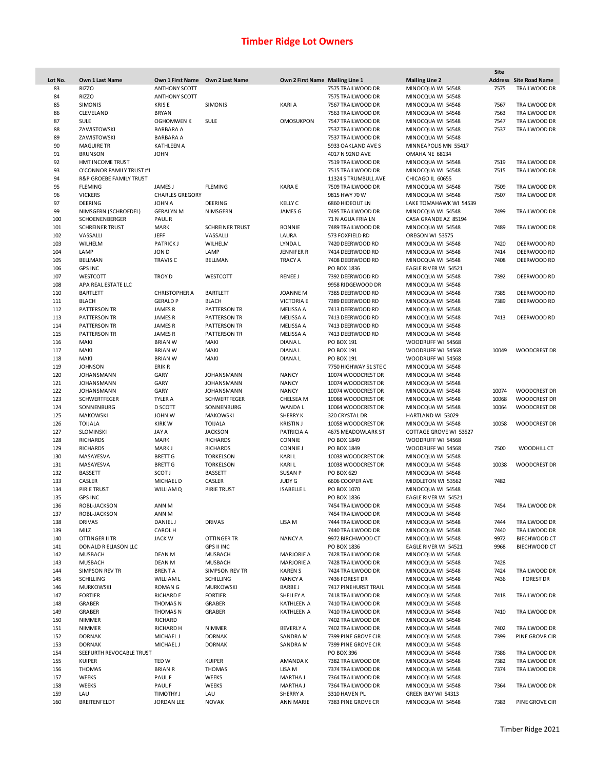| Lot No. | Own 1 Last Name          | Own 1 First Name Own 2 Last Name |                        | Own 2 First Name Mailing Line 1 |                       | <b>Mailing Line 2</b>  | Site  | <b>Address</b> Site Road Name |
|---------|--------------------------|----------------------------------|------------------------|---------------------------------|-----------------------|------------------------|-------|-------------------------------|
| 83      | <b>RIZZO</b>             | <b>ANTHONY SCOTT</b>             |                        |                                 | 7575 TRAILWOOD DR     | MINOCQUA WI 54548      | 7575  | TRAILWOOD DR                  |
| 84      | <b>RIZZO</b>             | <b>ANTHONY SCOTT</b>             |                        |                                 | 7575 TRAILWOOD DR     | MINOCQUA WI 54548      |       |                               |
| 85      | <b>SIMONIS</b>           | <b>KRISE</b>                     | <b>SIMONIS</b>         | KARI A                          | 7567 TRAILWOOD DR     | MINOCQUA WI 54548      | 7567  | TRAILWOOD DR                  |
| 86      | CLEVELAND                | <b>BRYAN</b>                     |                        |                                 | 7563 TRAILWOOD DR     | MINOCQUA WI 54548      | 7563  | TRAILWOOD DR                  |
| 87      | <b>SULE</b>              | <b>OGHOMWEN K</b>                | <b>SULE</b>            | <b>OMOSUKPON</b>                | 7547 TRAILWOOD DR     | MINOCQUA WI 54548      | 7547  | TRAILWOOD DR                  |
| 88      | ZAWISTOWSKI              | <b>BARBARA A</b>                 |                        |                                 | 7537 TRAILWOOD DR     | MINOCQUA WI 54548      | 7537  | TRAILWOOD DR                  |
| 89      | ZAWISTOWSKI              | <b>BARBARA A</b>                 |                        |                                 | 7537 TRAILWOOD DR     | MINOCQUA WI 54548      |       |                               |
| 90      | <b>MAGUIRE TR</b>        | <b>KATHLEEN A</b>                |                        |                                 | 5933 OAKLAND AVE S    | MINNEAPOLIS MN 55417   |       |                               |
| 91      |                          |                                  |                        |                                 |                       |                        |       |                               |
|         | <b>BRUNSON</b>           | <b>JOHN</b>                      |                        |                                 | 4017 N 92ND AVE       | OMAHA NE 68134         |       |                               |
| 92      | HMT INCOME TRUST         |                                  |                        |                                 | 7519 TRAILWOOD DR     | MINOCQUA WI 54548      | 7519  | TRAILWOOD DR                  |
| 93      | O'CONNOR FAMILY TRUST #1 |                                  |                        |                                 | 7515 TRAILWOOD DR     | MINOCQUA WI 54548      | 7515  | TRAILWOOD DR                  |
| 94      | R&P GROEBE FAMILY TRUST  |                                  |                        |                                 | 11324 S TRUMBULL AVE  | CHICAGO IL 60655       |       |                               |
| 95      | <b>FLEMING</b>           | <b>JAMES J</b>                   | <b>FLEMING</b>         | KARA E                          | 7509 TRAILWOOD DR     | MINOCQUA WI 54548      | 7509  | TRAILWOOD DR                  |
| 96      | <b>VICKERS</b>           | <b>CHARLES GREGORY</b>           |                        |                                 | 9815 HWY 70 W         | MINOCQUA WI 54548      | 7507  | TRAILWOOD DR                  |
| 97      | <b>DEERING</b>           | JOHN A                           | DEERING                | KELLY C                         | 6860 HIDEOUT LN       | LAKE TOMAHAWK WI 54539 |       |                               |
| 99      | NIMSGERN (SCHROEDEL)     | <b>GERALYN M</b>                 | NIMSGERN               | JAMES G                         | 7495 TRAILWOOD DR     | MINOCQUA WI 54548      | 7499  | TRAILWOOD DR                  |
| 100     | SCHOENENBERGER           | <b>PAULR</b>                     |                        |                                 | 71 N AGUA FRIA LN     | CASA GRANDE AZ 85194   |       |                               |
| 101     | <b>SCHREINER TRUST</b>   | <b>MARK</b>                      | <b>SCHREINER TRUST</b> | <b>BONNIE</b>                   | 7489 TRAILWOOD DR     | MINOCQUA WI 54548      | 7489  | TRAILWOOD DR                  |
| 102     | VASSALLI                 | JEFF                             | VASSALLI               | LAURA                           | 573 FOXFIELD RD       | OREGON WI 53575        |       |                               |
| 103     | WILHELM                  | <b>PATRICK J</b>                 | WILHELM                | LYNDA L                         | 7420 DEERWOOD RD      | MINOCQUA WI 54548      | 7420  | DEERWOOD RD                   |
| 104     | LAMP                     | JON D                            | LAMP                   | <b>JENNIFER R</b>               | 7414 DEERWOOD RD      | MINOCQUA WI 54548      | 7414  | DEERWOOD RD                   |
| 105     | <b>BELLMAN</b>           | <b>TRAVIS C</b>                  | <b>BELLMAN</b>         | <b>TRACY A</b>                  | 7408 DEERWOOD RD      | MINOCQUA WI 54548      | 7408  | DEERWOOD RD                   |
| 106     | <b>GPS INC</b>           |                                  |                        |                                 | PO BOX 1836           | EAGLE RIVER WI 54521   |       |                               |
| 107     | WESTCOTT                 | <b>TROY D</b>                    | WESTCOTT               | <b>RENEE J</b>                  | 7392 DEERWOOD RD      | MINOCQUA WI 54548      | 7392  | DEERWOOD RD                   |
| 108     | APA REAL ESTATE LLC      |                                  |                        |                                 | 9958 RIDGEWOOD DR     | MINOCQUA WI 54548      |       |                               |
| 110     | <b>BARTLETT</b>          | <b>CHRISTOPHER A</b>             | <b>BARTLETT</b>        | JOANNE M                        | 7385 DEERWOOD RD      | MINOCQUA WI 54548      | 7385  | DEERWOOD RD                   |
| 111     | <b>BLACH</b>             | <b>GERALD P</b>                  | <b>BLACH</b>           | <b>VICTORIA E</b>               | 7389 DEERWOOD RD      | MINOCQUA WI 54548      | 7389  | DEERWOOD RD                   |
| 112     | <b>PATTERSON TR</b>      | <b>JAMESR</b>                    | PATTERSON TR           | MELISSA A                       | 7413 DEERWOOD RD      | MINOCQUA WI 54548      |       |                               |
| 113     |                          |                                  |                        |                                 |                       |                        | 7413  |                               |
|         | <b>PATTERSON TR</b>      | <b>JAMESR</b>                    | <b>PATTERSON TR</b>    | MELISSA A                       | 7413 DEERWOOD RD      | MINOCQUA WI 54548      |       | DEERWOOD RD                   |
| 114     | <b>PATTERSON TR</b>      | JAMES R                          | <b>PATTERSON TR</b>    | MELISSA A                       | 7413 DEERWOOD RD      | MINOCQUA WI 54548      |       |                               |
| 115     | <b>PATTERSON TR</b>      | <b>JAMESR</b>                    | <b>PATTERSON TR</b>    | <b>MELISSA A</b>                | 7413 DEERWOOD RD      | MINOCQUA WI 54548      |       |                               |
| 116     | MAKI                     | <b>BRIAN W</b>                   | <b>MAKI</b>            | DIANA L                         | PO BOX 191            | WOODRUFF WI 54568      |       |                               |
| 117     | MAKI                     | <b>BRIAN W</b>                   | <b>MAKI</b>            | DIANA L                         | PO BOX 191            | WOODRUFF WI 54568      | 10049 | <b>WOODCREST DR</b>           |
| 118     | MAKI                     | <b>BRIAN W</b>                   | MAKI                   | DIANA L                         | PO BOX 191            | WOODRUFF WI 54568      |       |                               |
| 119     | <b>JOHNSON</b>           | ERIK R                           |                        |                                 | 7750 HIGHWAY 51 STE C | MINOCQUA WI 54548      |       |                               |
| 120     | <b>JOHANSMANN</b>        | GARY                             | JOHANSMANN             | <b>NANCY</b>                    | 10074 WOODCREST DR    | MINOCQUA WI 54548      |       |                               |
| 121     | JOHANSMANN               | GARY                             | JOHANSMANN             | <b>NANCY</b>                    | 10074 WOODCREST DR    | MINOCQUA WI 54548      |       |                               |
| 122     | JOHANSMANN               | GARY                             | JOHANSMANN             | <b>NANCY</b>                    | 10074 WOODCREST DR    | MINOCQUA WI 54548      | 10074 | <b>WOODCREST DR</b>           |
| 123     | <b>SCHWERTFEGER</b>      | TYLER A                          | <b>SCHWERTFEGER</b>    | CHELSEA M                       | 10068 WOODCREST DR    | MINOCQUA WI 54548      | 10068 | <b>WOODCREST DR</b>           |
| 124     | SONNENBURG               | <b>D SCOTT</b>                   | SONNENBURG             | WANDA L                         | 10064 WOODCREST DR    | MINOCQUA WI 54548      | 10064 | <b>WOODCREST DR</b>           |
| 125     | <b>MAKOWSKI</b>          | JOHN W                           | <b>MAKOWSKI</b>        | <b>SHERRY K</b>                 | 320 CRYSTAL DR        | HARTLAND WI 53029      |       |                               |
| 126     | <b>TOIJALA</b>           | <b>KIRKW</b>                     | <b>TOIJALA</b>         | <b>KRISTIN J</b>                | 10058 WOODCREST DR    | MINOCQUA WI 54548      | 10058 | <b>WOODCREST DR</b>           |
| 127     | SLOMINSKI                | JAY A                            | <b>JACKSON</b>         | PATRICIA A                      | 4675 MEADOWLARK ST    | COTTAGE GROVE WI 53527 |       |                               |
| 128     | <b>RICHARDS</b>          | <b>MARK</b>                      | <b>RICHARDS</b>        | CONNIE                          | PO BOX 1849           | WOODRUFF WI 54568      |       |                               |
| 129     | <b>RICHARDS</b>          | MARK J                           | <b>RICHARDS</b>        | CONNIE J                        | PO BOX 1849           | WOODRUFF WI 54568      | 7500  | WOODHILL CT                   |
| 130     | MASAYESVA                | <b>BRETT G</b>                   | <b>TORKELSON</b>       | <b>KARIL</b>                    | 10038 WOODCREST DR    | MINOCQUA WI 54548      |       |                               |
| 131     | MASAYESVA                | <b>BRETT G</b>                   | <b>TORKELSON</b>       | KARI L                          | 10038 WOODCREST DR    | MINOCQUA WI 54548      | 10038 | <b>WOODCREST DR</b>           |
| 132     | <b>BASSETT</b>           | <b>SCOTJ</b>                     | <b>BASSETT</b>         | <b>SUSAN P</b>                  | PO BOX 629            | MINOCQUA WI 54548      |       |                               |
| 133     | CASLER                   | MICHAEL D                        | CASLER                 | <b>JUDY G</b>                   | 6606 COOPER AVE       | MIDDLETON WI 53562     | 7482  |                               |
| 134     | PIRIE TRUST              | <b>WILLIAMQ</b>                  | PIRIE TRUST            | <b>ISABELLE L</b>               | PO BOX 1070           | MINOCQUA WI 54548      |       |                               |
| 135     | <b>GPS INC</b>           |                                  |                        |                                 | PO BOX 1836           | EAGLE RIVER WI 54521   |       |                               |
|         |                          |                                  |                        |                                 |                       |                        |       |                               |
| 136     | ROBL-JACKSON             | ANN M                            |                        |                                 | 7454 TRAILWOOD DR     | MINOCQUA WI 54548      | 7454  | TRAILWOOD DR                  |
| 137     | ROBL-JACKSON             | ANN M                            |                        |                                 | 7454 TRAILWOOD DR     | MINOCQUA WI 54548      |       |                               |
| 138     | <b>DRIVAS</b>            | DANIEL J                         | <b>DRIVAS</b>          | LISA M                          | 7444 TRAILWOOD DR     | MINOCQUA WI 54548      | 7444  | TRAILWOOD DR                  |
| 139     | MILZ                     | <b>CAROL H</b>                   |                        |                                 | 7440 TRAILWOOD DR     | MINOCQUA WI 54548      | 7440  | TRAILWOOD DR                  |
| 140     | OTTINGER II TR           | <b>JACK W</b>                    | OTTINGER TR            | <b>NANCY A</b>                  | 9972 BIRCHWOOD CT     | MINOCQUA WI 54548      | 9972  | BIECHWOOD CT                  |
| 141     | DONALD R ELIASON LLC     |                                  | <b>GPS II INC</b>      |                                 | PO BOX 1836           | EAGLE RIVER WI 54521   | 9968  | BIECHWOOD CT                  |
| 142     | <b>MUSBACH</b>           | DEAN M                           | <b>MUSBACH</b>         | <b>MARJORIE A</b>               | 7428 TRAILWOOD DR     | MINOCQUA WI 54548      |       |                               |
| 143     | <b>MUSBACH</b>           | DEAN M                           | <b>MUSBACH</b>         | MARJORIE A                      | 7428 TRAILWOOD DR     | MINOCQUA WI 54548      | 7428  |                               |
| 144     | SIMPSON REV TR           | <b>BRENT A</b>                   | SIMPSON REV TR         | <b>KAREN S</b>                  | 7424 TRAILWOOD DR     | MINOCQUA WI 54548      | 7424  | TRAILWOOD DR                  |
| 145     | <b>SCHILLING</b>         | <b>WILLIAM L</b>                 | SCHILLING              | <b>NANCY A</b>                  | 7436 FOREST DR        | MINOCQUA WI 54548      | 7436  | <b>FOREST DR</b>              |
| 146     | <b>MURKOWSKI</b>         | <b>ROMAN G</b>                   | <b>MURKOWSKI</b>       | <b>BARBEJ</b>                   | 7417 PINEHURST TRAIL  | MINOCQUA WI 54548      |       |                               |
| 147     | <b>FORTIER</b>           | <b>RICHARD E</b>                 | <b>FORTIER</b>         | SHELLEY A                       | 7418 TRAILWOOD DR     | MINOCQUA WI 54548      | 7418  | TRAILWOOD DR                  |
| 148     | GRABER                   | <b>THOMAS N</b>                  | GRABER                 | KATHLEEN A                      | 7410 TRAILWOOD DR     | MINOCQUA WI 54548      |       |                               |
| 149     | GRABER                   | THOMAS N                         | <b>GRABER</b>          | KATHLEEN A                      | 7410 TRAILWOOD DR     | MINOCQUA WI 54548      | 7410  | TRAILWOOD DR                  |
| 150     | <b>NIMMER</b>            | RICHARD                          |                        |                                 | 7402 TRAILWOOD DR     | MINOCQUA WI 54548      |       |                               |
| 151     | <b>NIMMER</b>            | RICHARD H                        | <b>NIMMER</b>          | <b>BEVERLY A</b>                | 7402 TRAILWOOD DR     | MINOCQUA WI 54548      | 7402  | TRAILWOOD DR                  |
| 152     | <b>DORNAK</b>            | MICHAEL J                        | <b>DORNAK</b>          | SANDRA M                        | 7399 PINE GROVE CIR   | MINOCQUA WI 54548      | 7399  | PINE GROVR CIR                |
| 153     | <b>DORNAK</b>            | MICHAEL J                        | <b>DORNAK</b>          | SANDRA M                        | 7399 PINE GROVE CIR   | MINOCQUA WI 54548      |       |                               |
|         |                          |                                  |                        |                                 |                       |                        |       |                               |
| 154     | SEEFURTH REVOCABLE TRUST |                                  |                        |                                 | PO BOX 396            | MINOCQUA WI 54548      | 7386  | TRAILWOOD DR                  |
| 155     | <b>KUIPER</b>            | TED W                            | <b>KUIPER</b>          | AMANDA K                        | 7382 TRAILWOOD DR     | MINOCQUA WI 54548      | 7382  | TRAILWOOD DR                  |
| 156     | <b>THOMAS</b>            | <b>BRIAN R</b>                   | <b>THOMAS</b>          | LISA M                          | 7374 TRAILWOOD DR     | MINOCQUA WI 54548      | 7374  | TRAILWOOD DR                  |
| 157     | <b>WEEKS</b>             | <b>PAULF</b>                     | WEEKS                  | MARTHA J                        | 7364 TRAILWOOD DR     | MINOCQUA WI 54548      |       |                               |
| 158     | WEEKS                    | <b>PAULF</b>                     | WEEKS                  | MARTHA J                        | 7364 TRAILWOOD DR     | MINOCQUA WI 54548      | 7364  | TRAILWOOD DR                  |
| 159     | LAU                      | <b>TIMOTHY J</b>                 | LAU                    | SHERRY A                        | 3310 HAVEN PL         | GREEN BAY WI 54313     |       |                               |
| 160     | <b>BREITENFELDT</b>      | <b>JORDAN LEE</b>                | <b>NOVAK</b>           | <b>ANN MARIE</b>                | 7383 PINE GROVE CR    | MINOCQUA WI 54548      | 7383  | PINE GROVE CIR                |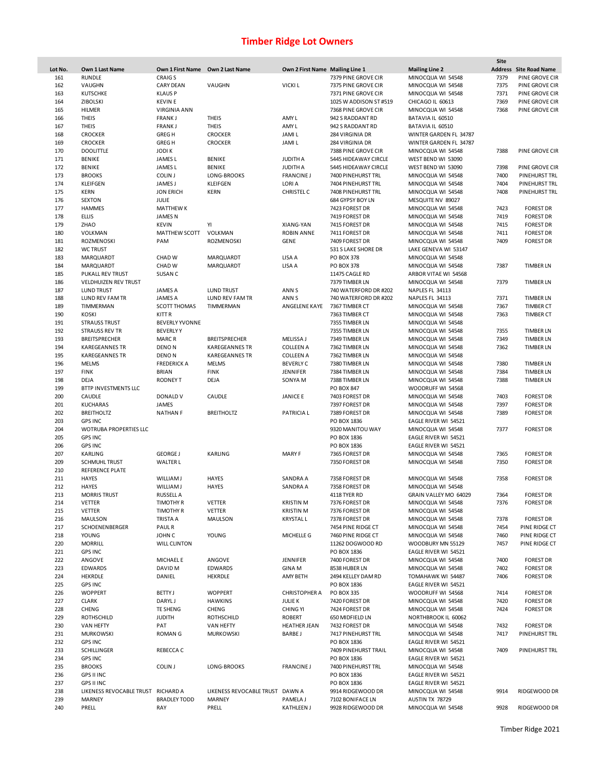|         |                                    |                                  |                                 |                                 |                        |                        | Site |                               |
|---------|------------------------------------|----------------------------------|---------------------------------|---------------------------------|------------------------|------------------------|------|-------------------------------|
| Lot No. | Own 1 Last Name                    | Own 1 First Name Own 2 Last Name |                                 | Own 2 First Name Mailing Line 1 |                        | <b>Mailing Line 2</b>  |      | <b>Address</b> Site Road Name |
| 161     | <b>RUNDLE</b>                      | <b>CRAIGS</b>                    |                                 |                                 | 7379 PINE GROVE CIR    | MINOCQUA WI 54548      | 7379 | PINE GROVE CIR                |
| 162     | VAUGHN                             | <b>CARY DEAN</b>                 | VAUGHN                          | <b>VICKIL</b>                   | 7375 PINE GROVE CIR    | MINOCQUA WI 54548      | 7375 | PINE GROVE CIR                |
| 163     | <b>KUTSCHKE</b>                    | <b>KLAUSP</b>                    |                                 |                                 | 7371 PINE GROVE CIR    | MINOCQUA WI 54548      | 7371 | PINE GROVE CIR                |
| 164     | <b>ZIBOLSKI</b>                    | <b>KEVIN E</b>                   |                                 |                                 | 1025 W ADDISON ST #519 | CHICAGO IL 60613       | 7369 | PINE GROVE CIR                |
| 165     | <b>HILMER</b>                      | <b>VIRGINIA ANN</b>              |                                 |                                 | 7368 PINE GROVE CIR    | MINOCQUA WI 54548      | 7368 | PINE GROVE CIR                |
| 166     | <b>THEIS</b>                       | <b>FRANKJ</b>                    | <b>THEIS</b>                    | AMY L                           | 942 S RADDANT RD       | BATAVIA IL 60510       |      |                               |
| 167     | <b>THEIS</b>                       | <b>FRANKJ</b>                    | <b>THEIS</b>                    | AMY L                           | 942 S RADDANT RD       | BATAVIA IL 60510       |      |                               |
| 168     | <b>CROCKER</b>                     | <b>GREGH</b>                     | <b>CROCKER</b>                  | <b>JAMIL</b>                    | 284 VIRGINIA DR        | WINTER GARDEN FL 34787 |      |                               |
| 169     | <b>CROCKER</b>                     | <b>GREGH</b>                     | <b>CROCKER</b>                  | <b>JAMIL</b>                    | 284 VIRGINIA DR        | WINTER GARDEN FL 34787 |      |                               |
| 170     | <b>DOOLITTLE</b>                   | JODI K                           |                                 |                                 | 7388 PINE GROVE CIR    | MINOCQUA WI 54548      | 7388 | PINE GROVE CIR                |
| 171     | <b>BENIKE</b>                      | JAMES <sub>L</sub>               | <b>BENIKE</b>                   | <b>JUDITH A</b>                 | 5445 HIDEAWAY CIRCLE   | WEST BEND WI 53090     |      |                               |
| 172     | <b>BENIKE</b>                      | JAMES L                          | <b>BENIKE</b>                   | <b>JUDITH A</b>                 | 5445 HIDEAWAY CIRCLE   | WEST BEND WI 53090     | 7398 | PINE GROVE CIR                |
| 173     | <b>BROOKS</b>                      | <b>COLIN J</b>                   | LONG-BROOKS                     | <b>FRANCINE J</b>               | 7400 PINEHURST TRL     | MINOCQUA WI 54548      | 7400 | PINEHURST TRL                 |
| 174     | KLEIFGEN                           | JAMES J                          | <b>KLEIFGEN</b>                 | LORI A                          | 7404 PINEHURST TRL     | MINOCQUA WI 54548      | 7404 | PINEHURST TRL                 |
| 175     | <b>KERN</b>                        | <b>JON ERICH</b>                 | <b>KERN</b>                     | <b>CHRISTEL C</b>               | 7408 PINEHURST TRL     | MINOCQUA WI 54548      | 7408 | <b>PINEHURST TRL</b>          |
| 176     | <b>SEXTON</b>                      | JULIE                            |                                 |                                 | 684 GYPSY BOY LN       | MESQUITE NV 89027      |      |                               |
| 177     |                                    |                                  |                                 |                                 |                        |                        |      |                               |
|         | <b>HAMMES</b>                      | <b>MATTHEW K</b>                 |                                 |                                 | 7423 FOREST DR         | MINOCQUA WI 54548      | 7423 | <b>FOREST DR</b>              |
| 178     | <b>ELLIS</b>                       | <b>JAMES N</b>                   |                                 |                                 | 7419 FOREST DR         | MINOCQUA WI 54548      | 7419 | <b>FOREST DR</b>              |
| 179     | ZHAO                               | <b>KEVIN</b>                     | YI                              | XIANG-YAN                       | 7415 FOREST DR         | MINOCQUA WI 54548      | 7415 | <b>FOREST DR</b>              |
| 180     | VOLKMAN                            | MATTHEW SCOTT                    | VOLKMAN                         | <b>ROBIN ANNE</b>               | 7411 FOREST DR         | MINOCQUA WI 54548      | 7411 | <b>FOREST DR</b>              |
| 181     | ROZMENOSKI                         | PAM                              | ROZMENOSKI                      | <b>GENE</b>                     | 7409 FOREST DR         | MINOCQUA WI 54548      | 7409 | <b>FOREST DR</b>              |
| 182     | <b>WC TRUST</b>                    |                                  |                                 |                                 | 531 S LAKE SHORE DR    | LAKE GENEVA WI 53147   |      |                               |
| 183     | MARQUARDT                          | CHAD W                           | MARQUARDT                       | LISA A                          | PO BOX 378             | MINOCQUA WI 54548      |      |                               |
| 184     | MARQUARDT                          | CHAD W                           | MARQUARDT                       | LISA A                          | PO BOX 378             | MINOCQUA WI 54548      | 7387 | <b>TIMBER LN</b>              |
| 185     | PUKALL REV TRUST                   | SUSAN C                          |                                 |                                 | 11475 CAGLE RD         | ARBOR VITAE WI 54568   |      |                               |
| 186     | VELDHUIZEN REV TRUST               |                                  |                                 |                                 | 7379 TIMBER LN         | MINOCQUA WI 54548      | 7379 | <b>TIMBER LN</b>              |
| 187     | <b>LUND TRUST</b>                  | <b>JAMES A</b>                   | <b>LUND TRUST</b>               | ANN <sub>S</sub>                | 740 WATERFORD DR #202  | NAPLES FL 34113        |      |                               |
| 188     | <b>LUND REV FAM TR</b>             | <b>JAMES A</b>                   | LUND REV FAM TR                 | ANN S                           | 740 WATERFORD DR #202  | NAPLES FL 34113        | 7371 | <b>TIMBER LN</b>              |
|         |                                    |                                  |                                 |                                 |                        |                        |      |                               |
| 189     | TIMMERMAN                          | SCOTT THOMAS                     | TIMMERMAN                       | ANGELENE KAYE                   | 7367 TIMBER CT         | MINOCQUA WI 54548      | 7367 | <b>TIMBER CT</b>              |
| 190     | <b>KOSKI</b>                       | KITT R                           |                                 |                                 | 7363 TIMBER CT         | MINOCQUA WI 54548      | 7363 | <b>TIMBER CT</b>              |
| 191     | <b>STRAUSS TRUST</b>               | <b>BEVERLY YVONNE</b>            |                                 |                                 | 7355 TIMBER LN         | MINOCQUA WI 54548      |      |                               |
| 192     | <b>STRAUSS REV TR</b>              | <b>BEVERLYY</b>                  |                                 |                                 | 7355 TIMBER LN         | MINOCQUA WI 54548      | 7355 | <b>TIMBER LN</b>              |
| 193     | <b>BREITSPRECHER</b>               | <b>MARCR</b>                     | <b>BREITSPRECHER</b>            | MELISSA J                       | 7349 TIMBER LN         | MINOCQUA WI 54548      | 7349 | <b>TIMBER LN</b>              |
| 194     | <b>KAREGEANNES TR</b>              | DENO <sub>N</sub>                | <b>KAREGEANNES TR</b>           | <b>COLLEEN A</b>                | 7362 TIMBER LN         | MINOCQUA WI 54548      | 7362 | <b>TIMBER LN</b>              |
| 195     | <b>KAREGEANNES TR</b>              | DENO <sub>N</sub>                | <b>KAREGEANNES TR</b>           | <b>COLLEEN A</b>                | 7362 TIMBER LN         | MINOCQUA WI 54548      |      |                               |
| 196     | <b>MELMS</b>                       | <b>FREDERICK A</b>               | <b>MELMS</b>                    | <b>BEVERLY C</b>                | 7380 TIMBER LN         | MINOCQUA WI 54548      | 7380 | <b>TIMBER LN</b>              |
| 197     | <b>FINK</b>                        | <b>BRIAN</b>                     | <b>FINK</b>                     | <b>JENNIFER</b>                 | 7384 TIMBER LN         | MINOCQUA WI 54548      | 7384 | <b>TIMBER LN</b>              |
| 198     | DEJA                               | <b>RODNEY T</b>                  | DEJA                            | SONYA M                         | 7388 TIMBER LN         | MINOCQUA WI 54548      | 7388 | <b>TIMBER LN</b>              |
| 199     | BTTP INVESTMENTS LLC               |                                  |                                 |                                 | PO BOX 847             | WOODRUFF WI 54568      |      |                               |
| 200     | CAUDLE                             | DONALD V                         | CAUDLE                          | <b>JANICE E</b>                 | 7403 FOREST DR         | MINOCQUA WI 54548      | 7403 | <b>FOREST DR</b>              |
| 201     | <b>KUCHARAS</b>                    | <b>JAMES</b>                     |                                 |                                 | 7397 FOREST DR         |                        | 7397 |                               |
|         |                                    |                                  |                                 |                                 |                        | MINOCQUA WI 54548      |      | <b>FOREST DR</b>              |
| 202     | <b>BREITHOLTZ</b>                  | <b>NATHAN F</b>                  | <b>BREITHOLTZ</b>               | <b>PATRICIA L</b>               | 7389 FOREST DR         | MINOCQUA WI 54548      | 7389 | <b>FOREST DR</b>              |
| 203     | <b>GPS INC</b>                     |                                  |                                 |                                 | PO BOX 1836            | EAGLE RIVER WI 54521   |      |                               |
| 204     | WOTRUBA PROPERTIES LLC             |                                  |                                 |                                 | 9320 MANITOU WAY       | MINOCQUA WI 54548      | 7377 | <b>FOREST DR</b>              |
| 205     | <b>GPS INC</b>                     |                                  |                                 |                                 | PO BOX 1836            | EAGLE RIVER WI 54521   |      |                               |
| 206     | <b>GPS INC</b>                     |                                  |                                 |                                 | PO BOX 1836            | EAGLE RIVER WI 54521   |      |                               |
| 207     | KARLING                            | <b>GEORGE J</b>                  | KARLING                         | MARY F                          | 7365 FOREST DR         | MINOCQUA WI 54548      | 7365 | <b>FOREST DR</b>              |
| 209     | <b>SCHMUHL TRUST</b>               | <b>WALTER L</b>                  |                                 |                                 | 7350 FOREST DR         | MINOCQUA WI 54548      | 7350 | <b>FOREST DR</b>              |
| 210     | <b>REFERENCE PLATE</b>             |                                  |                                 |                                 |                        |                        |      |                               |
| 211     | <b>HAYES</b>                       | <b>WILLIAMJ</b>                  | <b>HAYES</b>                    | SANDRA A                        | 7358 FOREST DR         | MINOCQUA WI 54548      | 7358 | <b>FOREST DR</b>              |
| 212     | <b>HAYES</b>                       | <b>WILLIAMJ</b>                  | <b>HAYES</b>                    | SANDRA A                        | 7358 FOREST DR         | MINOCQUA WI 54548      |      |                               |
| 213     | <b>MORRIS TRUST</b>                | <b>RUSSELL A</b>                 |                                 |                                 | 4118 TYER RD           | GRAIN VALLEY MO 64029  | 7364 | <b>FOREST DR</b>              |
| 214     | VETTER                             | <b>TIMOTHY R</b>                 | <b>VETTER</b>                   | <b>KRISTIN M</b>                | 7376 FOREST DR         | MINOCQUA WI 54548      | 7376 | <b>FOREST DR</b>              |
| 215     | VETTER                             | <b>TIMOTHY R</b>                 | <b>VETTER</b>                   | <b>KRISTIN M</b>                | 7376 FOREST DR         | MINOCQUA WI 54548      |      |                               |
|         |                                    |                                  |                                 |                                 |                        |                        |      |                               |
| 216     | <b>MAULSON</b>                     | TRISTA A                         | <b>MAULSON</b>                  | <b>KRYSTALL</b>                 | 7378 FOREST DR         | MINOCQUA WI 54548      | 7378 | <b>FOREST DR</b>              |
| 217     | SCHOENENBERGER                     | <b>PAULR</b>                     |                                 |                                 | 7454 PINE RIDGE CT     | MINOCQUA WI 54548      | 7454 | PINE RIDGE CT                 |
| 218     | YOUNG                              | JOHN C                           | YOUNG                           | MICHELLE G                      | 7460 PINE RIDGE CT     | MINOCQUA WI 54548      | 7460 | PINE RIDGE CT                 |
| 220     | <b>MORRILL</b>                     | <b>WILL CLINTON</b>              |                                 |                                 | 11262 DOGWOOD RD       | WOODBURY MN 55129      | 7457 | PINE RIDGE CT                 |
| 221     | <b>GPS INC</b>                     |                                  |                                 |                                 | PO BOX 1836            | EAGLE RIVER WI 54521   |      |                               |
| 222     | ANGOVE                             | <b>MICHAEL E</b>                 | ANGOVE                          | JENNIFER                        | 7400 FOREST DR         | MINOCQUA WI 54548      | 7400 | <b>FOREST DR</b>              |
| 223     | <b>EDWARDS</b>                     | DAVID M                          | <b>EDWARDS</b>                  | <b>GINA M</b>                   | 8538 HUBER LN          | MINOCQUA WI 54548      | 7402 | <b>FOREST DR</b>              |
| 224     | HEKRDLE                            | DANIEL                           | <b>HEKRDLE</b>                  | AMY BETH                        | 2494 KELLEY DAM RD     | TOMAHAWK WI 54487      | 7406 | <b>FOREST DR</b>              |
| 225     | <b>GPS INC</b>                     |                                  |                                 |                                 | PO BOX 1836            | EAGLE RIVER WI 54521   |      |                               |
| 226     | <b>WOPPERT</b>                     | <b>BETTY J</b>                   | <b>WOPPERT</b>                  | <b>CHRISTOPHER A</b>            | PO BOX 335             | WOODRUFF WI 54568      | 7414 | <b>FOREST DR</b>              |
| 227     | <b>CLARK</b>                       | DARYL J                          | <b>HAWKINS</b>                  | <b>JULIE K</b>                  | 7420 FOREST DR         | MINOCQUA WI 54548      | 7420 | <b>FOREST DR</b>              |
| 228     | CHENG                              | <b>TE SHENG</b>                  | CHENG                           | <b>CHING YI</b>                 | 7424 FOREST DR         | MINOCQUA WI 54548      | 7424 | <b>FOREST DR</b>              |
| 229     | <b>ROTHSCHILD</b>                  | <b>JUDITH</b>                    | <b>ROTHSCHILD</b>               | <b>ROBERT</b>                   | 650 MIDFIELD LN        | NORTHBROOK IL 60062    |      |                               |
| 230     | <b>VAN HEFTY</b>                   | PAT                              | VAN HEFTY                       | <b>HEATHER JEAN</b>             | 7432 FOREST DR         | MINOCQUA WI 54548      | 7432 | <b>FOREST DR</b>              |
|         |                                    |                                  |                                 |                                 |                        |                        |      |                               |
| 231     | <b>MURKOWSKI</b>                   | <b>ROMAN G</b>                   | <b>MURKOWSKI</b>                | <b>BARBE J</b>                  | 7417 PINEHURST TRL     | MINOCQUA WI 54548      | 7417 | PINEHURST TRL                 |
| 232     | <b>GPS INC</b>                     |                                  |                                 |                                 | PO BOX 1836            | EAGLE RIVER WI 54521   |      |                               |
| 233     | SCHILLINGER                        | REBECCA C                        |                                 |                                 | 7409 PINEHURST TRAIL   | MINOCQUA WI 54548      | 7409 | PINEHURST TRL                 |
| 234     | <b>GPS INC</b>                     |                                  |                                 |                                 | PO BOX 1836            | EAGLE RIVER WI 54521   |      |                               |
| 235     | <b>BROOKS</b>                      | <b>COLIN J</b>                   | LONG-BROOKS                     | <b>FRANCINE J</b>               | 7400 PINEHURST TRL     | MINOCQUA WI 54548      |      |                               |
| 236     | <b>GPS II INC</b>                  |                                  |                                 |                                 | PO BOX 1836            | EAGLE RIVER WI 54521   |      |                               |
| 237     | <b>GPS II INC</b>                  |                                  |                                 |                                 | PO BOX 1836            | EAGLE RIVER WI 54521   |      |                               |
| 238     | LIKENESS REVOCABLE TRUST RICHARD A |                                  | LIKENESS REVOCABLE TRUST DAWN A |                                 | 9914 RIDGEWOOD DR      | MINOCQUA WI 54548      | 9914 | RIDGEWOOD DR                  |
| 239     | MARNEY                             | <b>BRADLEY TODD</b>              | MARNEY                          | PAMELA J                        | 7102 BONIFACE LN       | AUSTIN TX 78729        |      |                               |
| 240     | PRELL                              | RAY                              | PRELL                           | <b>KATHLEEN J</b>               | 9928 RIDGEWOOD DR      | MINOCQUA WI 54548      | 9928 | RIDGEWOOD DR                  |
|         |                                    |                                  |                                 |                                 |                        |                        |      |                               |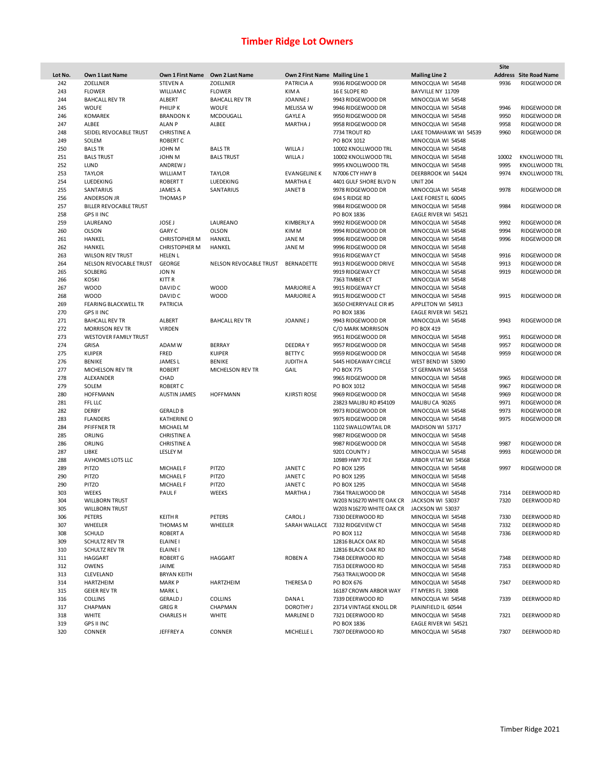|         |                               |                                  |                        |                                 |                                           |                        | Site  |                               |
|---------|-------------------------------|----------------------------------|------------------------|---------------------------------|-------------------------------------------|------------------------|-------|-------------------------------|
| Lot No. | Own 1 Last Name               | Own 1 First Name Own 2 Last Name |                        | Own 2 First Name Mailing Line 1 |                                           | <b>Mailing Line 2</b>  |       | <b>Address</b> Site Road Name |
| 242     | <b>ZOELLNER</b>               | <b>STEVEN A</b>                  | <b>ZOELLNER</b>        | PATRICIA A                      | 9936 RIDGEWOOD DR                         | MINOCQUA WI 54548      | 9936  | RIDGEWOOD DR                  |
| 243     | <b>FLOWER</b>                 | <b>WILLIAMC</b>                  | <b>FLOWER</b>          | <b>KIMA</b>                     | 16 E SLOPE RD                             | BAYVILLE NY 11709      |       |                               |
| 244     | <b>BAHCALL REV TR</b>         | ALBERT                           | <b>BAHCALL REV TR</b>  | <b>JOANNEJ</b>                  | 9943 RIDGEWOOD DR                         | MINOCQUA WI 54548      |       |                               |
| 245     | <b>WOLFE</b>                  | PHILIP K                         | <b>WOLFE</b>           | <b>MELISSA W</b>                | 9946 RIDGEWOOD DR                         | MINOCQUA WI 54548      | 9946  | RIDGEWOOD DR                  |
| 246     | <b>KOMAREK</b>                | <b>BRANDON K</b>                 | MCDOUGALL              | <b>GAYLE A</b>                  | 9950 RIDGEWOOD DR                         | MINOCQUA WI 54548      | 9950  | RIDGEWOOD DR                  |
| 247     | ALBEE                         | <b>ALAN P</b>                    | ALBEE                  | MARTHA J                        | 9958 RIDGEWOOD DR                         | MINOCQUA WI 54548      | 9958  | RIDGEWOOD DR                  |
| 248     | SEIDEL REVOCABLE TRUST        | <b>CHRISTINE A</b>               |                        |                                 | 7734 TROUT RD                             | LAKE TOMAHAWK WI 54539 | 9960  | RIDGEWOOD DR                  |
| 249     | SOLEM                         | <b>ROBERT C</b>                  |                        |                                 | PO BOX 1012                               | MINOCQUA WI 54548      |       |                               |
| 250     | <b>BALS TR</b>                | <b>JOHN M</b>                    | <b>BALS TR</b>         | WILLA J                         | 10002 KNOLLWOOD TRL                       | MINOCQUA WI 54548      |       |                               |
| 251     | <b>BALS TRUST</b>             | <b>JOHN M</b>                    | <b>BALS TRUST</b>      | WILLA J                         | 10002 KNOLLWOOD TRL                       | MINOCQUA WI 54548      | 10002 | <b>KNOLLWOOD TRL</b>          |
| 252     | LUND                          |                                  |                        |                                 | 9995 KNOLLWOOD TRL                        | MINOCQUA WI 54548      | 9995  | <b>KNOLLWOOD TRL</b>          |
|         |                               | <b>ANDREW J</b>                  |                        | <b>EVANGELINE K</b>             |                                           |                        |       | <b>KNOLLWOOD TRL</b>          |
| 253     | <b>TAYLOR</b>                 | <b>WILLIAMT</b>                  | <b>TAYLOR</b>          |                                 | N7006 CTY HWY B                           | DEERBROOK WI 54424     | 9974  |                               |
| 254     | LUEDEKING                     | <b>ROBERT T</b>                  | LUEDEKING              | <b>MARTHA E</b>                 | 4401 GULF SHORE BLVD N                    | <b>UNIT 204</b>        |       |                               |
| 255     | SANTARIUS                     | <b>JAMES A</b>                   | SANTARIUS              | <b>JANET B</b>                  | 9978 RIDGEWOOD DR                         | MINOCQUA WI 54548      | 9978  | RIDGEWOOD DR                  |
| 256     | ANDERSON JR                   | <b>THOMASP</b>                   |                        |                                 | 694 S RIDGE RD                            | LAKE FOREST IL 60045   |       |                               |
| 257     | <b>BILLER REVOCABLE TRUST</b> |                                  |                        |                                 | 9984 RIDGEWOOD DR                         | MINOCQUA WI 54548      | 9984  | RIDGEWOOD DR                  |
| 258     | <b>GPS II INC</b>             |                                  |                        |                                 | PO BOX 1836                               | EAGLE RIVER WI 54521   |       |                               |
| 259     | LAUREANO                      | <b>JOSE J</b>                    | LAUREANO               | KIMBERLY A                      | 9992 RIDGEWOOD DR                         | MINOCQUA WI 54548      | 9992  | RIDGEWOOD DR                  |
| 260     | <b>OLSON</b>                  | <b>GARY C</b>                    | <b>OLSON</b>           | KIM M                           | 9994 RIDGEWOOD DR                         | MINOCQUA WI 54548      | 9994  | RIDGEWOOD DR                  |
| 261     | HANKEL                        | <b>CHRISTOPHER M</b>             | HANKEL                 | JANE M                          | 9996 RIDGEWOOD DR                         | MINOCQUA WI 54548      | 9996  | RIDGEWOOD DR                  |
| 262     | HANKEL                        | <b>CHRISTOPHER M</b>             | HANKEL                 | <b>JANEM</b>                    | 9996 RIDGEWOOD DR                         | MINOCQUA WI 54548      |       |                               |
| 263     | <b>WILSON REV TRUST</b>       | <b>HELEN L</b>                   |                        |                                 | 9916 RIDGEWAY CT                          | MINOCQUA WI 54548      | 9916  | RIDGEWOOD DR                  |
| 264     | NELSON REVOCABLE TRUST        | <b>GEORGE</b>                    | NELSON REVOCABLE TRUST | BERNADETTE                      | 9913 RIDGEWOOD DRIVE                      | MINOCQUA WI 54548      | 9913  | RIDGEWOOD DR                  |
| 265     | SOLBERG                       | <b>JON N</b>                     |                        |                                 | 9919 RIDGEWAY CT                          | MINOCQUA WI 54548      | 9919  | RIDGEWOOD DR                  |
| 266     | <b>KOSKI</b>                  | KITT R                           |                        |                                 | 7363 TIMBER CT                            | MINOCQUA WI 54548      |       |                               |
| 267     | <b>WOOD</b>                   | DAVID C                          | <b>WOOD</b>            | <b>MARJORIE A</b>               | 9915 RIDGEWAY CT                          | MINOCQUA WI 54548      |       |                               |
| 268     | <b>WOOD</b>                   | DAVID C                          | <b>WOOD</b>            | <b>MARJORIE A</b>               | 9915 RIDGEWOOD CT                         | MINOCQUA WI 54548      | 9915  | RIDGEWOOD DR                  |
| 269     | <b>FEARING BLACKWELL TR</b>   | <b>PATRICIA</b>                  |                        |                                 | 3650 CHERRYVALE CIR #5                    | APPLETON WI 54913      |       |                               |
| 270     | <b>GPS II INC</b>             |                                  |                        |                                 | PO BOX 1836                               | EAGLE RIVER WI 54521   |       |                               |
| 271     | <b>BAHCALL REV TR</b>         | ALBERT                           | <b>BAHCALL REV TR</b>  | <b>JOANNEJ</b>                  | 9943 RIDGEWOOD DR                         | MINOCQUA WI 54548      | 9943  | <b>RIDGEWOOD DR</b>           |
| 272     | <b>MORRISON REV TR</b>        | <b>VIRDEN</b>                    |                        |                                 | C/O MARK MORRISON                         | PO BOX 419             |       |                               |
| 273     | <b>WESTOVER FAMILY TRUST</b>  |                                  |                        |                                 | 9951 RIDGEWOOD DR                         | MINOCQUA WI 54548      | 9951  | RIDGEWOOD DR                  |
| 274     | <b>GRISA</b>                  | ADAM W                           | BERRAY                 | <b>DEEDRAY</b>                  | 9957 RIDGEWOOD DR                         | MINOCQUA WI 54548      | 9957  |                               |
|         |                               |                                  |                        |                                 |                                           |                        |       | RIDGEWOOD DR                  |
| 275     | <b>KUIPER</b>                 | FRED                             | <b>KUIPER</b>          | <b>BETTY C</b>                  | 9959 RIDGEWOOD DR                         | MINOCQUA WI 54548      | 9959  | RIDGEWOOD DR                  |
| 276     | <b>BENIKE</b>                 | <b>JAMESL</b>                    | <b>BENIKE</b>          | <b>JUDITH A</b>                 | 5445 HIDEAWAY CIRCLE                      | WEST BEND WI 53090     |       |                               |
| 277     | MICHELSON REV TR              | <b>ROBERT</b>                    | MICHELSON REV TR       | GAIL                            | <b>PO BOX 775</b>                         | ST GERMAIN WI 54558    |       |                               |
| 278     | ALEXANDER                     | CHAD                             |                        |                                 | 9965 RIDGEWOOD DR                         | MINOCQUA WI 54548      | 9965  | RIDGEWOOD DR                  |
| 279     | SOLEM                         | <b>ROBERT C</b>                  |                        |                                 | PO BOX 1012                               | MINOCQUA WI 54548      | 9967  | RIDGEWOOD DR                  |
| 280     | <b>HOFFMANN</b>               | <b>AUSTIN JAMES</b>              | <b>HOFFMANN</b>        | <b>KJIRSTI ROSE</b>             | 9969 RIDGEWOOD DR                         | MINOCQUA WI 54548      | 9969  | RIDGEWOOD DR                  |
| 281     | FFL LLC                       |                                  |                        |                                 | 23823 MALIBU RD #54109                    | MALIBU CA 90265        | 9971  | RIDGEWOOD DR                  |
| 282     | <b>DERBY</b>                  | <b>GERALD B</b>                  |                        |                                 | 9973 RIDGEWOOD DR                         | MINOCQUA WI 54548      | 9973  | RIDGEWOOD DR                  |
| 283     | <b>FLANDERS</b>               | <b>KATHERINE O</b>               |                        |                                 | 9975 RIDGEWOOD DR                         | MINOCQUA WI 54548      | 9975  | RIDGEWOOD DR                  |
| 284     | PFIFFNER TR                   | MICHAEL M                        |                        |                                 | 1102 SWALLOWTAIL DR                       | MADISON WI 53717       |       |                               |
| 285     | ORLING                        | <b>CHRISTINE A</b>               |                        |                                 | 9987 RIDGEWOOD DR                         | MINOCQUA WI 54548      |       |                               |
| 286     | ORLING                        | <b>CHRISTINE A</b>               |                        |                                 | 9987 RIDGEWOOD DR                         | MINOCQUA WI 54548      | 9987  | RIDGEWOOD DR                  |
| 287     | LIBKE                         | <b>LESLEY M</b>                  |                        |                                 | 9201 COUNTY J                             | MINOCQUA WI 54548      | 9993  | RIDGEWOOD DR                  |
| 288     | AVHOMES LOTS LLC              |                                  |                        |                                 | 10989 HWY 70 E                            | ARBOR VITAE WI 54568   |       |                               |
| 289     | PITZO                         | MICHAEL F                        | PITZO                  | <b>JANET C</b>                  | PO BOX 1295                               | MINOCQUA WI 54548      | 9997  | RIDGEWOOD DR                  |
| 290     | PITZO                         | <b>MICHAEL F</b>                 | PITZO                  | JANET C                         | PO BOX 1295                               | MINOCQUA WI 54548      |       |                               |
| 290     | PITZO                         | MICHAEL F                        | PITZO                  | <b>JANET C</b>                  | PO BOX 1295                               | MINOCQUA WI 54548      |       |                               |
| 303     | <b>WEEKS</b>                  | <b>PAULF</b>                     | <b>WEEKS</b>           | MARTHA J                        | 7364 TRAILWOOD DR                         | MINOCQUA WI 54548      | 7314  | DEERWOOD RD                   |
| 304     | <b>WILLBORN TRUST</b>         |                                  |                        |                                 | W203 N16270 WHITE OAK CR                  | JACKSON WI 53037       | 7320  | DEERWOOD RD                   |
| 305     | <b>WILLBORN TRUST</b>         |                                  |                        |                                 | W203 N16270 WHITE OAK CR JACKSON WI 53037 |                        |       |                               |
| 306     | PETERS                        | <b>KEITH R</b>                   | PETERS                 | <b>CAROLJ</b>                   | 7330 DEERWOOD RD                          | MINOCQUA WI 54548      | 7330  | DEERWOOD RD                   |
| 307     | WHEELER                       | THOMAS M                         | WHEELER                |                                 | SARAH WALLACE 7332 RIDGEVIEW CT           | MINOCQUA WI 54548      | 7332  | DEERWOOD RD                   |
| 308     | <b>SCHULD</b>                 | <b>ROBERT A</b>                  |                        |                                 | PO BOX 112                                | MINOCQUA WI 54548      | 7336  | DEERWOOD RD                   |
| 309     | SCHULTZ REV TR                | <b>ELAINEI</b>                   |                        |                                 | 12816 BLACK OAK RD                        | MINOCQUA WI 54548      |       |                               |
| 310     | <b>SCHULTZ REV TR</b>         | <b>ELAINEI</b>                   |                        |                                 | 12816 BLACK OAK RD                        | MINOCQUA WI 54548      |       |                               |
| 311     | <b>HAGGART</b>                | <b>ROBERT G</b>                  | HAGGART                | <b>ROBEN A</b>                  | 7348 DEERWOOD RD                          | MINOCQUA WI 54548      | 7348  | DEERWOOD RD                   |
| 312     | OWENS                         |                                  |                        |                                 | 7353 DEERWOOD RD                          | MINOCQUA WI 54548      | 7353  | DEERWOOD RD                   |
| 313     | CLEVELAND                     | JAIME<br><b>BRYAN KEITH</b>      |                        |                                 | 7563 TRAILWOOD DR                         |                        |       |                               |
|         |                               |                                  |                        |                                 |                                           | MINOCQUA WI 54548      |       |                               |
| 314     | HARTZHEIM                     | <b>MARK P</b>                    | HARTZHEIM              | THERESA D                       | PO BOX 676                                | MINOCQUA WI 54548      | 7347  | DEERWOOD RD                   |
| 315     | <b>GEIER REV TR</b>           | MARK L                           |                        |                                 | 16187 CROWN ARBOR WAY                     | FT MYERS FL 33908      |       |                               |
| 316     | <b>COLLINS</b>                | <b>GERALD J</b>                  | <b>COLLINS</b>         | DANA L                          | 7339 DEERWOOD RD                          | MINOCQUA WI 54548      | 7339  | DEERWOOD RD                   |
| 317     | CHAPMAN                       | <b>GREGR</b>                     | CHAPMAN                | DOROTHY J                       | 23714 VINTAGE KNOLL DR                    | PLAINFIELD IL 60544    |       |                               |
| 318     | <b>WHITE</b>                  | <b>CHARLES H</b>                 | <b>WHITE</b>           | <b>MARLENED</b>                 | 7321 DEERWOOD RD                          | MINOCQUA WI 54548      | 7321  | DEERWOOD RD                   |
| 319     | <b>GPS II INC</b>             |                                  |                        |                                 | PO BOX 1836                               | EAGLE RIVER WI 54521   |       |                               |
| 320     | CONNER                        | JEFFREY A                        | CONNER                 | MICHELLE L                      | 7307 DEERWOOD RD                          | MINOCQUA WI 54548      | 7307  | DEERWOOD RD                   |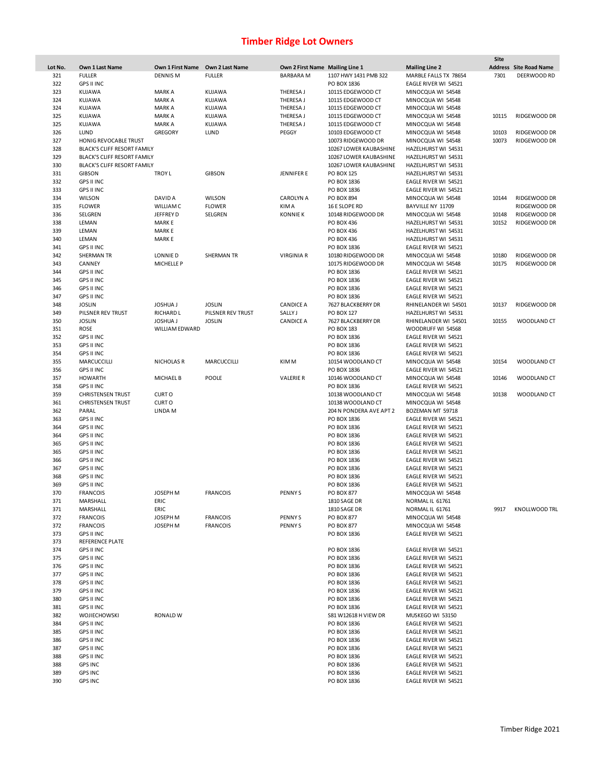|         |                                    |                   |                   |                                 |                         |                       | Site  |                               |
|---------|------------------------------------|-------------------|-------------------|---------------------------------|-------------------------|-----------------------|-------|-------------------------------|
| Lot No. | Own 1 Last Name                    | Own 1 First Name  | Own 2 Last Name   | Own 2 First Name Mailing Line 1 |                         | <b>Mailing Line 2</b> |       | <b>Address</b> Site Road Name |
| 321     | <b>FULLER</b>                      | <b>DENNIS M</b>   | <b>FULLER</b>     | <b>BARBARAM</b>                 | 1107 HWY 1431 PMB 322   | MARBLE FALLS TX 78654 | 7301  | DEERWOOD RD                   |
| 322     | <b>GPS II INC</b>                  |                   |                   |                                 | PO BOX 1836             | EAGLE RIVER WI 54521  |       |                               |
| 323     | <b>KUJAWA</b>                      | <b>MARK A</b>     | KUJAWA            | THERESA J                       | 10115 EDGEWOOD CT       | MINOCQUA WI 54548     |       |                               |
| 324     | KUJAWA                             | <b>MARK A</b>     | KUJAWA            | THERESA J                       | 10115 EDGEWOOD CT       | MINOCQUA WI 54548     |       |                               |
| 324     | <b>KUJAWA</b>                      | <b>MARK A</b>     | KUJAWA            | THERESA J                       | 10115 EDGEWOOD CT       | MINOCQUA WI 54548     |       |                               |
| 325     | KUJAWA                             | <b>MARK A</b>     | KUJAWA            | THERESA J                       | 10115 EDGEWOOD CT       | MINOCQUA WI 54548     | 10115 | RIDGEWOOD DR                  |
| 325     | KUJAWA                             | <b>MARK A</b>     | KUJAWA            | THERESA J                       | 10115 EDGEWOOD CT       | MINOCQUA WI 54548     |       |                               |
| 326     | LUND                               | <b>GREGORY</b>    |                   | PEGGY                           | 10103 EDGEWOOD CT       |                       | 10103 | RIDGEWOOD DR                  |
|         |                                    |                   | LUND              |                                 |                         | MINOCQUA WI 54548     |       |                               |
| 327     | <b>HONIG REVOCABLE TRUST</b>       |                   |                   |                                 | 10073 RIDGEWOOD DR      | MINOCQUA WI 54548     | 10073 | RIDGEWOOD DR                  |
| 328     | BLACK'S CLIFF RESORT FAMILY        |                   |                   |                                 | 10267 LOWER KAUBASHINE  | HAZELHURST WI 54531   |       |                               |
| 329     | <b>BLACK'S CLIFF RESORT FAMILY</b> |                   |                   |                                 | 10267 LOWER KAUBASHINE  | HAZELHURST WI 54531   |       |                               |
| 330     | BLACK'S CLIFF RESORT FAMILY        |                   |                   |                                 | 10267 LOWER KAUBASHINE  | HAZELHURST WI 54531   |       |                               |
| 331     | <b>GIBSON</b>                      | <b>TROY L</b>     | <b>GIBSON</b>     | <b>JENNIFER E</b>               | <b>PO BOX 125</b>       | HAZELHURST WI 54531   |       |                               |
| 332     | <b>GPS II INC</b>                  |                   |                   |                                 | PO BOX 1836             | EAGLE RIVER WI 54521  |       |                               |
| 333     | <b>GPS II INC</b>                  |                   |                   |                                 | PO BOX 1836             | EAGLE RIVER WI 54521  |       |                               |
| 334     | <b>WILSON</b>                      | DAVID A           | <b>WILSON</b>     | <b>CAROLYN A</b>                | PO BOX 894              | MINOCQUA WI 54548     | 10144 | RIDGEWOOD DR                  |
| 335     | <b>FLOWER</b>                      | <b>WILLIAMC</b>   | <b>FLOWER</b>     | <b>KIMA</b>                     | 16 E SLOPE RD           | BAYVILLE NY 11709     |       | RIDGEWOOD DR                  |
| 336     | SELGREN                            | JEFFREY D         | SELGREN           | <b>KONNIE K</b>                 | 10148 RIDGEWOOD DR      | MINOCQUA WI 54548     | 10148 | RIDGEWOOD DR                  |
| 338     | LEMAN                              | <b>MARKE</b>      |                   |                                 | PO BOX 436              | HAZELHURST WI 54531   | 10152 | RIDGEWOOD DR                  |
| 339     | LEMAN                              | <b>MARKE</b>      |                   |                                 | PO BOX 436              | HAZELHURST WI 54531   |       |                               |
| 340     | LEMAN                              | <b>MARKE</b>      |                   |                                 | PO BOX 436              | HAZELHURST WI 54531   |       |                               |
|         |                                    |                   |                   |                                 |                         |                       |       |                               |
| 341     | <b>GPS II INC</b>                  |                   |                   |                                 | PO BOX 1836             | EAGLE RIVER WI 54521  |       |                               |
| 342     | SHERMAN TR                         | LONNIE D          | <b>SHERMAN TR</b> | <b>VIRGINIA R</b>               | 10180 RIDGEWOOD DR      | MINOCQUA WI 54548     | 10180 | RIDGEWOOD DR                  |
| 343     | CANNEY                             | <b>MICHELLE P</b> |                   |                                 | 10175 RIDGEWOOD DR      | MINOCQUA WI 54548     | 10175 | RIDGEWOOD DR                  |
| 344     | <b>GPS II INC</b>                  |                   |                   |                                 | PO BOX 1836             | EAGLE RIVER WI 54521  |       |                               |
| 345     | <b>GPS II INC</b>                  |                   |                   |                                 | PO BOX 1836             | EAGLE RIVER WI 54521  |       |                               |
| 346     | <b>GPS II INC</b>                  |                   |                   |                                 | PO BOX 1836             | EAGLE RIVER WI 54521  |       |                               |
| 347     | <b>GPS II INC</b>                  |                   |                   |                                 | PO BOX 1836             | EAGLE RIVER WI 54521  |       |                               |
| 348     | <b>JOSLIN</b>                      | <b>JOSHUA J</b>   | <b>JOSLIN</b>     | <b>CANDICE A</b>                | 7627 BLACKBERRY DR      | RHINELANDER WI 54501  | 10137 | RIDGEWOOD DR                  |
| 349     | PILSNER REV TRUST                  | <b>RICHARD L</b>  | PILSNER REV TRUST | SALLY J                         | PO BOX 127              | HAZELHURST WI 54531   |       |                               |
| 350     | <b>JOSLIN</b>                      | <b>JOSHUA J</b>   | <b>JOSLIN</b>     | <b>CANDICE A</b>                | 7627 BLACKBERRY DR      | RHINELANDER WI 54501  | 10155 | WOODLAND CT                   |
| 351     | <b>ROSE</b>                        | WILLIAM EDWARD    |                   |                                 | PO BOX 183              | WOODRUFF WI 54568     |       |                               |
| 352     | <b>GPS II INC</b>                  |                   |                   |                                 | PO BOX 1836             |                       |       |                               |
|         |                                    |                   |                   |                                 |                         | EAGLE RIVER WI 54521  |       |                               |
| 353     | <b>GPS II INC</b>                  |                   |                   |                                 | PO BOX 1836             | EAGLE RIVER WI 54521  |       |                               |
| 354     | <b>GPS II INC</b>                  |                   |                   |                                 | PO BOX 1836             | EAGLE RIVER WI 54521  |       |                               |
| 355     | MARCUCCILLI                        | <b>NICHOLAS R</b> | MARCUCCILLI       | KIM M                           | 10154 WOODLAND CT       | MINOCQUA WI 54548     | 10154 | WOODLAND CT                   |
| 356     | <b>GPS II INC</b>                  |                   |                   |                                 | PO BOX 1836             | EAGLE RIVER WI 54521  |       |                               |
| 357     | <b>HOWARTH</b>                     | <b>MICHAEL B</b>  | POOLE             | <b>VALERIE R</b>                | 10146 WOODLAND CT       | MINOCQUA WI 54548     | 10146 | WOODLAND CT                   |
| 358     | <b>GPS II INC</b>                  |                   |                   |                                 | PO BOX 1836             | EAGLE RIVER WI 54521  |       |                               |
| 359     | <b>CHRISTENSEN TRUST</b>           | <b>CURTO</b>      |                   |                                 | 10138 WOODLAND CT       | MINOCQUA WI 54548     | 10138 | WOODLAND CT                   |
| 361     | <b>CHRISTENSEN TRUST</b>           | <b>CURTO</b>      |                   |                                 | 10138 WOODLAND CT       | MINOCQUA WI 54548     |       |                               |
| 362     | PARAL                              | LINDA M           |                   |                                 | 204 N PONDERA AVE APT 2 | BOZEMAN MT 59718      |       |                               |
| 363     | <b>GPS II INC</b>                  |                   |                   |                                 | PO BOX 1836             | EAGLE RIVER WI 54521  |       |                               |
| 364     | <b>GPS II INC</b>                  |                   |                   |                                 | PO BOX 1836             | EAGLE RIVER WI 54521  |       |                               |
| 364     | <b>GPS II INC</b>                  |                   |                   |                                 | PO BOX 1836             | EAGLE RIVER WI 54521  |       |                               |
| 365     | <b>GPS II INC</b>                  |                   |                   |                                 | PO BOX 1836             | EAGLE RIVER WI 54521  |       |                               |
|         |                                    |                   |                   |                                 |                         |                       |       |                               |
| 365     | <b>GPS II INC</b>                  |                   |                   |                                 | PO BOX 1836             | EAGLE RIVER WI 54521  |       |                               |
| 366     | <b>GPS II INC</b>                  |                   |                   |                                 | PO BOX 1836             | EAGLE RIVER WI 54521  |       |                               |
| 367     | <b>GPS II INC</b>                  |                   |                   |                                 | PO BOX 1836             | EAGLE RIVER WI 54521  |       |                               |
| 368     | <b>GPS II INC</b>                  |                   |                   |                                 | PO BOX 1836             | EAGLE RIVER WI 54521  |       |                               |
| 369     | <b>GPS II INC</b>                  |                   |                   |                                 | PO BOX 1836             | EAGLE RIVER WI 54521  |       |                               |
| 370     | <b>FRANCOIS</b>                    | JOSEPH M          | <b>FRANCOIS</b>   | PENNY <sub>S</sub>              | PO BOX 877              | MINOCQUA WI 54548     |       |                               |
| 371     | MARSHALL                           | ERIC              |                   |                                 | 1810 SAGE DR            | NORMAL IL 61761       |       |                               |
| 371     | MARSHALL                           | ERIC              |                   |                                 | 1810 SAGE DR            | NORMAL IL 61761       | 9917  | <b>KNOLLWOOD TRL</b>          |
| 372     | <b>FRANCOIS</b>                    | JOSEPH M          | <b>FRANCOIS</b>   | PENNY <sub>S</sub>              | PO BOX 877              | MINOCQUA WI 54548     |       |                               |
| 372     | <b>FRANCOIS</b>                    | JOSEPH M          | <b>FRANCOIS</b>   | <b>PENNYS</b>                   | PO BOX 877              | MINOCQUA WI 54548     |       |                               |
| 373     | <b>GPS II INC</b>                  |                   |                   |                                 | PO BOX 1836             | EAGLE RIVER WI 54521  |       |                               |
| 373     | <b>REFERENCE PLATE</b>             |                   |                   |                                 |                         |                       |       |                               |
|         |                                    |                   |                   |                                 |                         |                       |       |                               |
| 374     | <b>GPS II INC</b>                  |                   |                   |                                 | PO BOX 1836             | EAGLE RIVER WI 54521  |       |                               |
| 375     | <b>GPS II INC</b>                  |                   |                   |                                 | PO BOX 1836             | EAGLE RIVER WI 54521  |       |                               |
| 376     | <b>GPS II INC</b>                  |                   |                   |                                 | PO BOX 1836             | EAGLE RIVER WI 54521  |       |                               |
| 377     | <b>GPS II INC</b>                  |                   |                   |                                 | PO BOX 1836             | EAGLE RIVER WI 54521  |       |                               |
| 378     | <b>GPS II INC</b>                  |                   |                   |                                 | PO BOX 1836             | EAGLE RIVER WI 54521  |       |                               |
| 379     | <b>GPS II INC</b>                  |                   |                   |                                 | PO BOX 1836             | EAGLE RIVER WI 54521  |       |                               |
| 380     | <b>GPS II INC</b>                  |                   |                   |                                 | PO BOX 1836             | EAGLE RIVER WI 54521  |       |                               |
| 381     | <b>GPS II INC</b>                  |                   |                   |                                 | PO BOX 1836             | EAGLE RIVER WI 54521  |       |                               |
| 382     | WOJIECHOWSKI                       | <b>RONALD W</b>   |                   |                                 | S81 W12618 H VIEW DR    | MUSKEGO WI 53150      |       |                               |
| 384     | <b>GPS II INC</b>                  |                   |                   |                                 | PO BOX 1836             | EAGLE RIVER WI 54521  |       |                               |
| 385     | <b>GPS II INC</b>                  |                   |                   |                                 | PO BOX 1836             | EAGLE RIVER WI 54521  |       |                               |
| 386     | <b>GPS II INC</b>                  |                   |                   |                                 | PO BOX 1836             | EAGLE RIVER WI 54521  |       |                               |
|         |                                    |                   |                   |                                 |                         |                       |       |                               |
| 387     | GPS II INC                         |                   |                   |                                 | PO BOX 1836             | EAGLE RIVER WI 54521  |       |                               |
| 388     | <b>GPS II INC</b>                  |                   |                   |                                 | PO BOX 1836             | EAGLE RIVER WI 54521  |       |                               |
| 388     | <b>GPS INC</b>                     |                   |                   |                                 | PO BOX 1836             | EAGLE RIVER WI 54521  |       |                               |
| 389     | <b>GPS INC</b>                     |                   |                   |                                 | PO BOX 1836             | EAGLE RIVER WI 54521  |       |                               |
| 390     | <b>GPS INC</b>                     |                   |                   |                                 | PO BOX 1836             | EAGLE RIVER WI 54521  |       |                               |